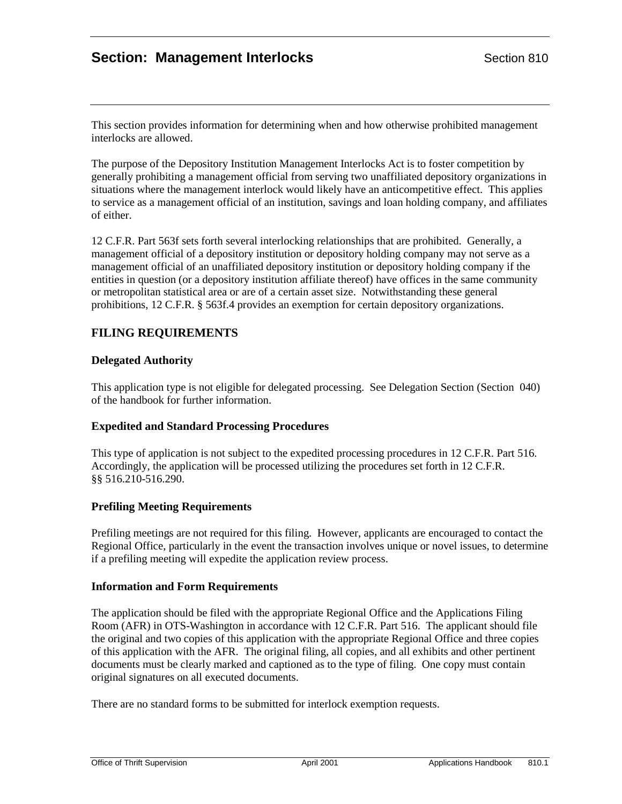# **Section: Management Interlocks Section 810**

This section provides information for determining when and how otherwise prohibited management interlocks are allowed.

The purpose of the Depository Institution Management Interlocks Act is to foster competition by generally prohibiting a management official from serving two unaffiliated depository organizations in situations where the management interlock would likely have an anticompetitive effect. This applies to service as a management official of an institution, savings and loan holding company, and affiliates of either.

12 C.F.R. Part 563f sets forth several interlocking relationships that are prohibited. Generally, a management official of a depository institution or depository holding company may not serve as a management official of an unaffiliated depository institution or depository holding company if the entities in question (or a depository institution affiliate thereof) have offices in the same community or metropolitan statistical area or are of a certain asset size. Notwithstanding these general prohibitions, 12 C.F.R. § 563f.4 provides an exemption for certain depository organizations.

## **FILING REQUIREMENTS**

### **Delegated Authority**

This application type is not eligible for delegated processing. See Delegation Section (Section 040) of the handbook for further information.

#### **Expedited and Standard Processing Procedures**

This type of application is not subject to the expedited processing procedures in 12 C.F.R. Part 516. Accordingly, the application will be processed utilizing the procedures set forth in 12 C.F.R. §§ 516.210-516.290.

#### **Prefiling Meeting Requirements**

Prefiling meetings are not required for this filing. However, applicants are encouraged to contact the Regional Office, particularly in the event the transaction involves unique or novel issues, to determine if a prefiling meeting will expedite the application review process.

#### **Information and Form Requirements**

The application should be filed with the appropriate Regional Office and the Applications Filing Room (AFR) in OTS-Washington in accordance with 12 C.F.R. Part 516. The applicant should file the original and two copies of this application with the appropriate Regional Office and three copies of this application with the AFR. The original filing, all copies, and all exhibits and other pertinent documents must be clearly marked and captioned as to the type of filing. One copy must contain original signatures on all executed documents.

There are no standard forms to be submitted for interlock exemption requests.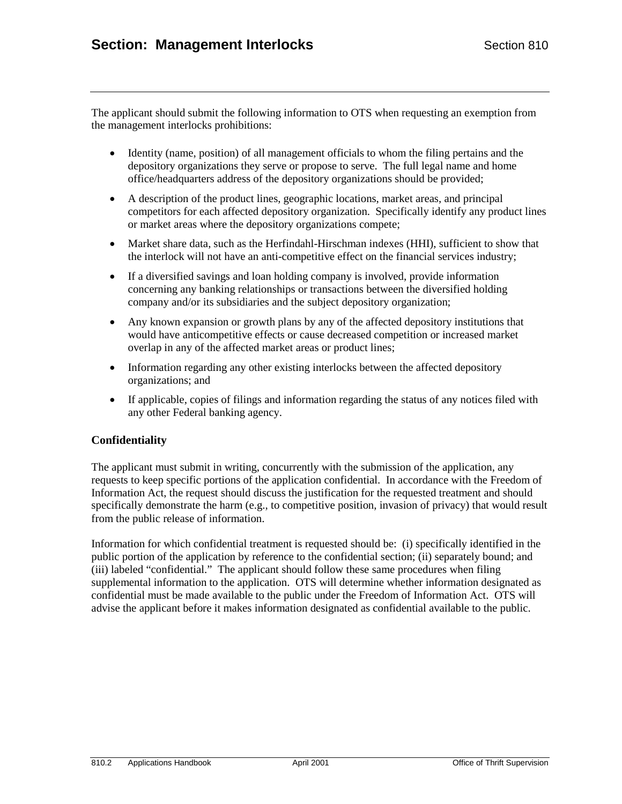The applicant should submit the following information to OTS when requesting an exemption from the management interlocks prohibitions:

- Identity (name, position) of all management officials to whom the filing pertains and the depository organizations they serve or propose to serve. The full legal name and home office/headquarters address of the depository organizations should be provided;
- A description of the product lines, geographic locations, market areas, and principal competitors for each affected depository organization. Specifically identify any product lines or market areas where the depository organizations compete;
- Market share data, such as the Herfindahl-Hirschman indexes (HHI), sufficient to show that the interlock will not have an anti-competitive effect on the financial services industry;
- If a diversified savings and loan holding company is involved, provide information concerning any banking relationships or transactions between the diversified holding company and/or its subsidiaries and the subject depository organization;
- Any known expansion or growth plans by any of the affected depository institutions that would have anticompetitive effects or cause decreased competition or increased market overlap in any of the affected market areas or product lines;
- Information regarding any other existing interlocks between the affected depository organizations; and
- If applicable, copies of filings and information regarding the status of any notices filed with any other Federal banking agency.

## **Confidentiality**

The applicant must submit in writing, concurrently with the submission of the application, any requests to keep specific portions of the application confidential. In accordance with the Freedom of Information Act, the request should discuss the justification for the requested treatment and should specifically demonstrate the harm (e.g., to competitive position, invasion of privacy) that would result from the public release of information.

Information for which confidential treatment is requested should be: (i) specifically identified in the public portion of the application by reference to the confidential section; (ii) separately bound; and (iii) labeled "confidential." The applicant should follow these same procedures when filing supplemental information to the application. OTS will determine whether information designated as confidential must be made available to the public under the Freedom of Information Act. OTS will advise the applicant before it makes information designated as confidential available to the public.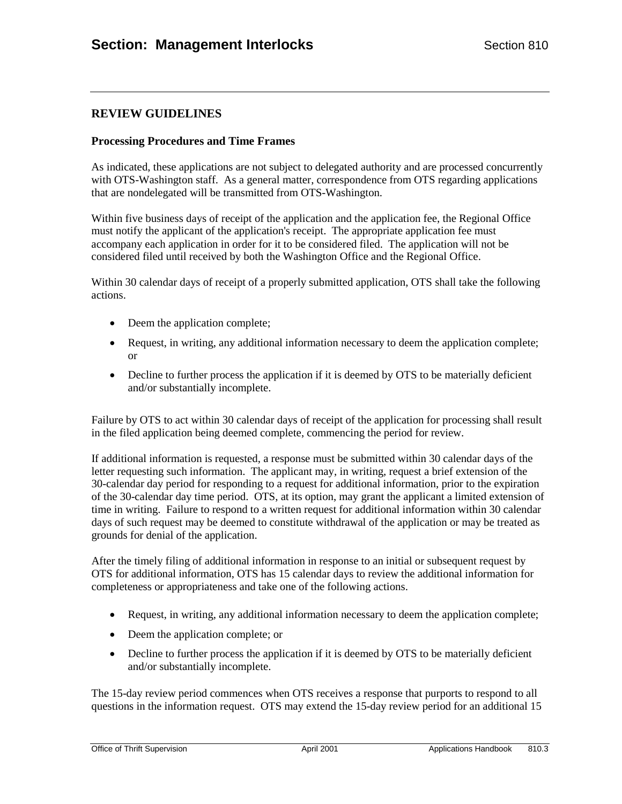## **REVIEW GUIDELINES**

### **Processing Procedures and Time Frames**

As indicated, these applications are not subject to delegated authority and are processed concurrently with OTS-Washington staff. As a general matter, correspondence from OTS regarding applications that are nondelegated will be transmitted from OTS-Washington.

Within five business days of receipt of the application and the application fee, the Regional Office must notify the applicant of the application's receipt. The appropriate application fee must accompany each application in order for it to be considered filed. The application will not be considered filed until received by both the Washington Office and the Regional Office.

Within 30 calendar days of receipt of a properly submitted application, OTS shall take the following actions.

- Deem the application complete;
- Request, in writing, any additional information necessary to deem the application complete; or
- Decline to further process the application if it is deemed by OTS to be materially deficient and/or substantially incomplete.

Failure by OTS to act within 30 calendar days of receipt of the application for processing shall result in the filed application being deemed complete, commencing the period for review.

If additional information is requested, a response must be submitted within 30 calendar days of the letter requesting such information. The applicant may, in writing, request a brief extension of the 30-calendar day period for responding to a request for additional information, prior to the expiration of the 30-calendar day time period. OTS, at its option, may grant the applicant a limited extension of time in writing. Failure to respond to a written request for additional information within 30 calendar days of such request may be deemed to constitute withdrawal of the application or may be treated as grounds for denial of the application.

After the timely filing of additional information in response to an initial or subsequent request by OTS for additional information, OTS has 15 calendar days to review the additional information for completeness or appropriateness and take one of the following actions.

- Request, in writing, any additional information necessary to deem the application complete;
- Deem the application complete; or
- Decline to further process the application if it is deemed by OTS to be materially deficient and/or substantially incomplete.

The 15-day review period commences when OTS receives a response that purports to respond to all questions in the information request. OTS may extend the 15-day review period for an additional 15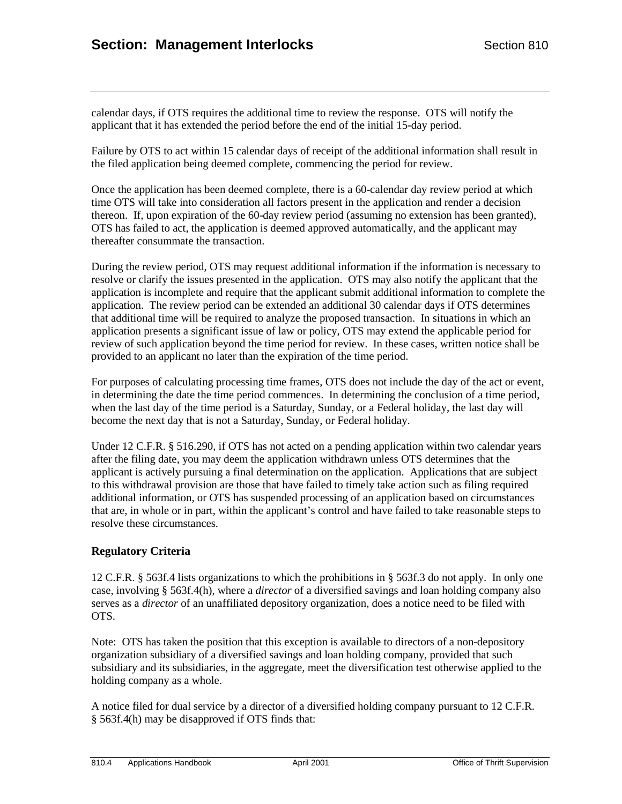calendar days, if OTS requires the additional time to review the response. OTS will notify the applicant that it has extended the period before the end of the initial 15-day period.

Failure by OTS to act within 15 calendar days of receipt of the additional information shall result in the filed application being deemed complete, commencing the period for review.

Once the application has been deemed complete, there is a 60-calendar day review period at which time OTS will take into consideration all factors present in the application and render a decision thereon. If, upon expiration of the 60-day review period (assuming no extension has been granted), OTS has failed to act, the application is deemed approved automatically, and the applicant may thereafter consummate the transaction.

During the review period, OTS may request additional information if the information is necessary to resolve or clarify the issues presented in the application. OTS may also notify the applicant that the application is incomplete and require that the applicant submit additional information to complete the application. The review period can be extended an additional 30 calendar days if OTS determines that additional time will be required to analyze the proposed transaction. In situations in which an application presents a significant issue of law or policy, OTS may extend the applicable period for review of such application beyond the time period for review. In these cases, written notice shall be provided to an applicant no later than the expiration of the time period.

For purposes of calculating processing time frames, OTS does not include the day of the act or event, in determining the date the time period commences. In determining the conclusion of a time period, when the last day of the time period is a Saturday, Sunday, or a Federal holiday, the last day will become the next day that is not a Saturday, Sunday, or Federal holiday.

Under 12 C.F.R. § 516.290, if OTS has not acted on a pending application within two calendar years after the filing date, you may deem the application withdrawn unless OTS determines that the applicant is actively pursuing a final determination on the application. Applications that are subject to this withdrawal provision are those that have failed to timely take action such as filing required additional information, or OTS has suspended processing of an application based on circumstances that are, in whole or in part, within the applicant's control and have failed to take reasonable steps to resolve these circumstances.

## **Regulatory Criteria**

12 C.F.R. § 563f.4 lists organizations to which the prohibitions in § 563f.3 do not apply. In only one case, involving § 563f.4(h), where a *director* of a diversified savings and loan holding company also serves as a *director* of an unaffiliated depository organization, does a notice need to be filed with OTS.

Note: OTS has taken the position that this exception is available to directors of a non-depository organization subsidiary of a diversified savings and loan holding company, provided that such subsidiary and its subsidiaries, in the aggregate, meet the diversification test otherwise applied to the holding company as a whole.

A notice filed for dual service by a director of a diversified holding company pursuant to 12 C.F.R. § 563f.4(h) may be disapproved if OTS finds that: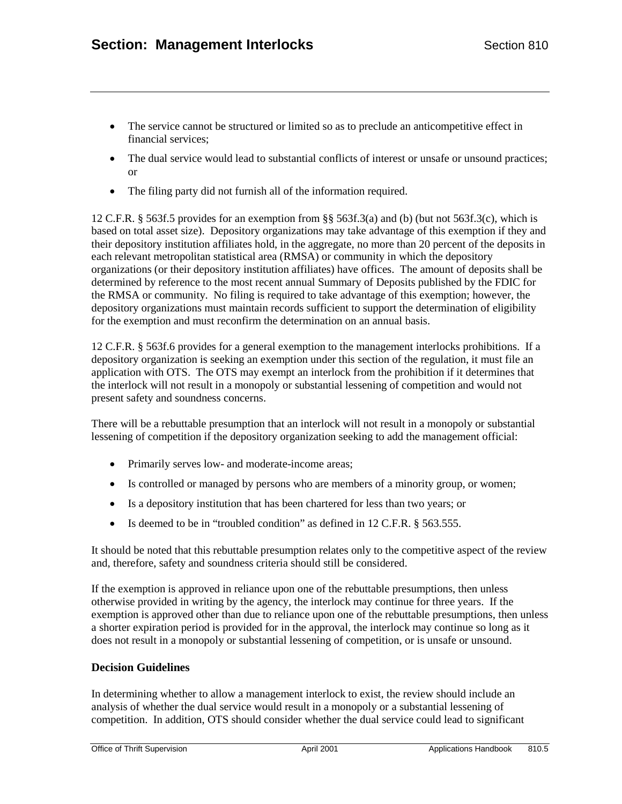- The service cannot be structured or limited so as to preclude an anticompetitive effect in financial services;
- The dual service would lead to substantial conflicts of interest or unsafe or unsound practices; or
- The filing party did not furnish all of the information required.

12 C.F.R. § 563f.5 provides for an exemption from §§ 563f.3(a) and (b) (but not 563f.3(c), which is based on total asset size). Depository organizations may take advantage of this exemption if they and their depository institution affiliates hold, in the aggregate, no more than 20 percent of the deposits in each relevant metropolitan statistical area (RMSA) or community in which the depository organizations (or their depository institution affiliates) have offices. The amount of deposits shall be determined by reference to the most recent annual Summary of Deposits published by the FDIC for the RMSA or community. No filing is required to take advantage of this exemption; however, the depository organizations must maintain records sufficient to support the determination of eligibility for the exemption and must reconfirm the determination on an annual basis.

12 C.F.R. § 563f.6 provides for a general exemption to the management interlocks prohibitions. If a depository organization is seeking an exemption under this section of the regulation, it must file an application with OTS. The OTS may exempt an interlock from the prohibition if it determines that the interlock will not result in a monopoly or substantial lessening of competition and would not present safety and soundness concerns.

There will be a rebuttable presumption that an interlock will not result in a monopoly or substantial lessening of competition if the depository organization seeking to add the management official:

- Primarily serves low- and moderate-income areas;
- Is controlled or managed by persons who are members of a minority group, or women;
- Is a depository institution that has been chartered for less than two years; or
- Is deemed to be in "troubled condition" as defined in 12 C.F.R. § 563.555.

It should be noted that this rebuttable presumption relates only to the competitive aspect of the review and, therefore, safety and soundness criteria should still be considered.

If the exemption is approved in reliance upon one of the rebuttable presumptions, then unless otherwise provided in writing by the agency, the interlock may continue for three years. If the exemption is approved other than due to reliance upon one of the rebuttable presumptions, then unless a shorter expiration period is provided for in the approval, the interlock may continue so long as it does not result in a monopoly or substantial lessening of competition, or is unsafe or unsound.

## **Decision Guidelines**

In determining whether to allow a management interlock to exist, the review should include an analysis of whether the dual service would result in a monopoly or a substantial lessening of competition. In addition, OTS should consider whether the dual service could lead to significant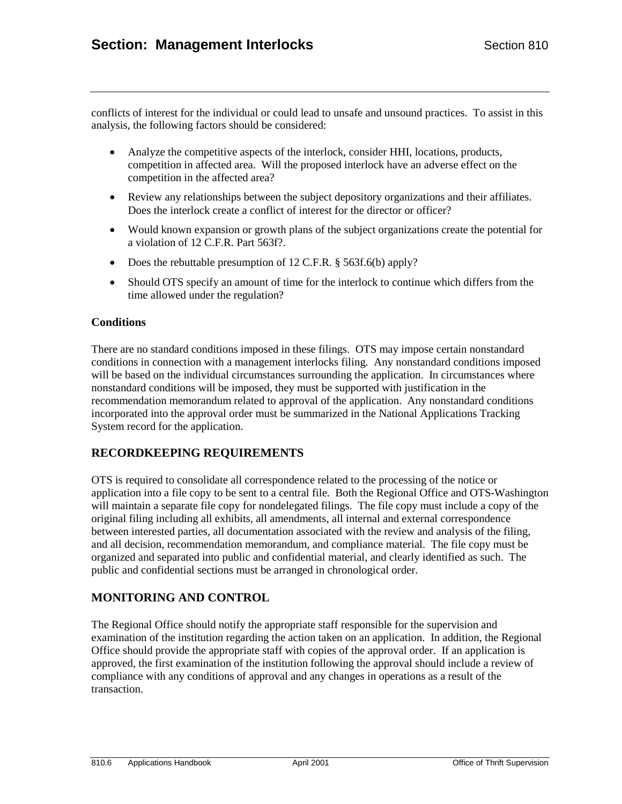conflicts of interest for the individual or could lead to unsafe and unsound practices. To assist in this analysis, the following factors should be considered:

- Analyze the competitive aspects of the interlock, consider HHI, locations, products, competition in affected area. Will the proposed interlock have an adverse effect on the competition in the affected area?
- Review any relationships between the subject depository organizations and their affiliates. Does the interlock create a conflict of interest for the director or officer?
- Would known expansion or growth plans of the subject organizations create the potential for a violation of 12 C.F.R. Part 563f?.
- Does the rebuttable presumption of 12 C.F.R. § 563f.6(b) apply?
- Should OTS specify an amount of time for the interlock to continue which differs from the time allowed under the regulation?

#### **Conditions**

There are no standard conditions imposed in these filings. OTS may impose certain nonstandard conditions in connection with a management interlocks filing. Any nonstandard conditions imposed will be based on the individual circumstances surrounding the application. In circumstances where nonstandard conditions will be imposed, they must be supported with justification in the recommendation memorandum related to approval of the application. Any nonstandard conditions incorporated into the approval order must be summarized in the National Applications Tracking System record for the application.

## **RECORDKEEPING REQUIREMENTS**

OTS is required to consolidate all correspondence related to the processing of the notice or application into a file copy to be sent to a central file. Both the Regional Office and OTS-Washington will maintain a separate file copy for nondelegated filings. The file copy must include a copy of the original filing including all exhibits, all amendments, all internal and external correspondence between interested parties, all documentation associated with the review and analysis of the filing, and all decision, recommendation memorandum, and compliance material. The file copy must be organized and separated into public and confidential material, and clearly identified as such. The public and confidential sections must be arranged in chronological order.

## **MONITORING AND CONTROL**

The Regional Office should notify the appropriate staff responsible for the supervision and examination of the institution regarding the action taken on an application. In addition, the Regional Office should provide the appropriate staff with copies of the approval order. If an application is approved, the first examination of the institution following the approval should include a review of compliance with any conditions of approval and any changes in operations as a result of the transaction.